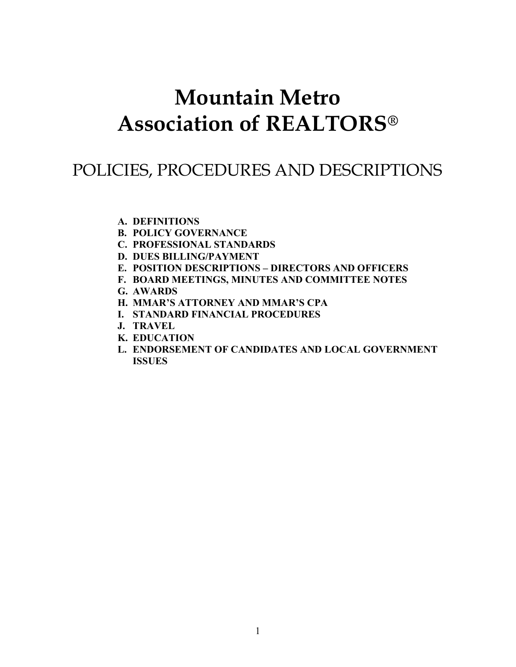# Mountain Metro Association of REALTORS®

# POLICIES, PROCEDURES AND DESCRIPTIONS

- A. DEFINITIONS
- B. POLICY GOVERNANCE
- C. PROFESSIONAL STANDARDS
- D. DUES BILLING/PAYMENT
- E. POSITION DESCRIPTIONS DIRECTORS AND OFFICERS
- F. BOARD MEETINGS, MINUTES AND COMMITTEE NOTES
- G. AWARDS
- H. MMAR'S ATTORNEY AND MMAR'S CPA
- I. STANDARD FINANCIAL PROCEDURES
- J. TRAVEL
- K. EDUCATION
- L. ENDORSEMENT OF CANDIDATES AND LOCAL GOVERNMENT ISSUES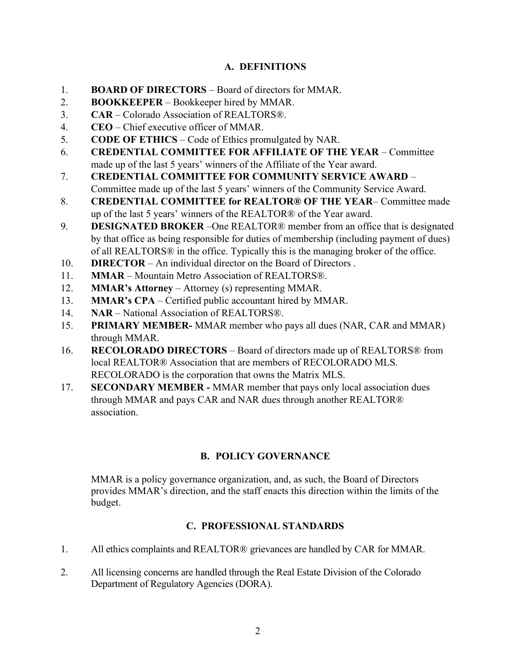# A. DEFINITIONS

- 1. BOARD OF DIRECTORS Board of directors for MMAR.
- 2. BOOKKEEPER Bookkeeper hired by MMAR.
- 3. CAR Colorado Association of REALTORS®.
- 4. CEO Chief executive officer of MMAR.
- 5. CODE OF ETHICS Code of Ethics promulgated by NAR.
- 6. CREDENTIAL COMMITTEE FOR AFFILIATE OF THE YEAR Committee made up of the last 5 years' winners of the Affiliate of the Year award.
- 7. CREDENTIAL COMMITTEE FOR COMMUNITY SERVICE AWARD Committee made up of the last 5 years' winners of the Community Service Award.
- 8. CREDENTIAL COMMITTEE for REALTOR® OF THE YEAR– Committee made up of the last 5 years' winners of the REALTOR® of the Year award.
- 9. DESIGNATED BROKER One REALTOR<sup>®</sup> member from an office that is designated by that office as being responsible for duties of membership (including payment of dues) of all REALTORS® in the office. Typically this is the managing broker of the office.
- 10. **DIRECTOR** An individual director on the Board of Directors.
- 11. MMAR Mountain Metro Association of REALTORS®.
- 12. MMAR's Attorney Attorney (s) representing MMAR.
- 13. MMAR's CPA Certified public accountant hired by MMAR.
- 14. NAR National Association of REALTORS®.
- 15. PRIMARY MEMBER- MMAR member who pays all dues (NAR, CAR and MMAR) through MMAR.
- 16. RECOLORADO DIRECTORS Board of directors made up of REALTORS® from local REALTOR® Association that are members of RECOLORADO MLS. RECOLORADO is the corporation that owns the Matrix MLS.
- 17. SECONDARY MEMBER MMAR member that pays only local association dues through MMAR and pays CAR and NAR dues through another REALTOR® association.

# B. POLICY GOVERNANCE

MMAR is a policy governance organization, and, as such, the Board of Directors provides MMAR's direction, and the staff enacts this direction within the limits of the budget.

# C. PROFESSIONAL STANDARDS

- 1. All ethics complaints and REALTOR® grievances are handled by CAR for MMAR.
- 2. All licensing concerns are handled through the Real Estate Division of the Colorado Department of Regulatory Agencies (DORA).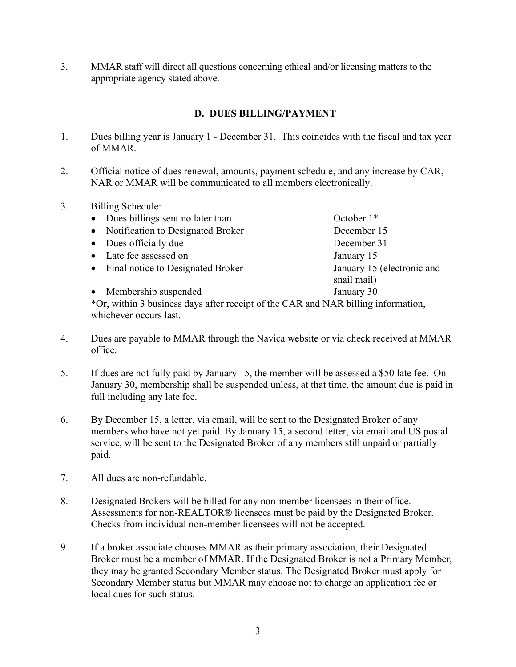3. MMAR staff will direct all questions concerning ethical and/or licensing matters to the appropriate agency stated above.

# D. DUES BILLING/PAYMENT

- 1. Dues billing year is January 1 December 31. This coincides with the fiscal and tax year of MMAR.
- 2. Official notice of dues renewal, amounts, payment schedule, and any increase by CAR, NAR or MMAR will be communicated to all members electronically.
- 3. Billing Schedule:

| • Dues billings sent no later than                                                     | October $1*$               |
|----------------------------------------------------------------------------------------|----------------------------|
| • Notification to Designated Broker                                                    | December 15                |
| • Dues officially due                                                                  | December 31                |
| • Late fee assessed on                                                                 | January 15                 |
| • Final notice to Designated Broker                                                    | January 15 (electronic and |
|                                                                                        | snail mail)                |
| • Membership suspended                                                                 | January 30                 |
| $*$ Or within 2 business days often receipt of the $CAD$ and $NAD$ billing information |                            |

\*Or, within 3 business days after receipt of the CAR and NAR billing information, whichever occurs last.

- 4. Dues are payable to MMAR through the Navica website or via check received at MMAR office.
- 5. If dues are not fully paid by January 15, the member will be assessed a \$50 late fee. On January 30, membership shall be suspended unless, at that time, the amount due is paid in full including any late fee.
- 6. By December 15, a letter, via email, will be sent to the Designated Broker of any members who have not yet paid. By January 15, a second letter, via email and US postal service, will be sent to the Designated Broker of any members still unpaid or partially paid.
- 7. All dues are non-refundable.
- 8. Designated Brokers will be billed for any non-member licensees in their office. Assessments for non-REALTOR® licensees must be paid by the Designated Broker. Checks from individual non-member licensees will not be accepted.
- 9. If a broker associate chooses MMAR as their primary association, their Designated Broker must be a member of MMAR. If the Designated Broker is not a Primary Member, they may be granted Secondary Member status. The Designated Broker must apply for Secondary Member status but MMAR may choose not to charge an application fee or local dues for such status.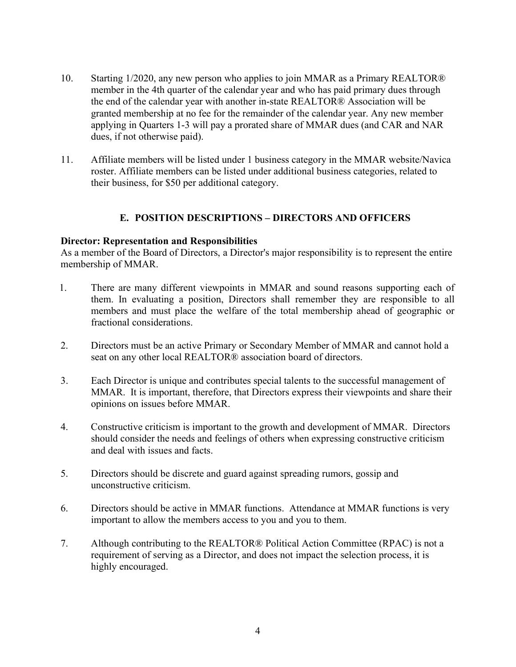- 10. Starting 1/2020, any new person who applies to join MMAR as a Primary REALTOR® member in the 4th quarter of the calendar year and who has paid primary dues through the end of the calendar year with another in-state REALTOR® Association will be granted membership at no fee for the remainder of the calendar year. Any new member applying in Quarters 1-3 will pay a prorated share of MMAR dues (and CAR and NAR dues, if not otherwise paid).
- 11. Affiliate members will be listed under 1 business category in the MMAR website/Navica roster. Affiliate members can be listed under additional business categories, related to their business, for \$50 per additional category.

# E. POSITION DESCRIPTIONS – DIRECTORS AND OFFICERS

#### Director: Representation and Responsibilities

As a member of the Board of Directors, a Director's major responsibility is to represent the entire membership of MMAR.

- 1. There are many different viewpoints in MMAR and sound reasons supporting each of them. In evaluating a position, Directors shall remember they are responsible to all members and must place the welfare of the total membership ahead of geographic or fractional considerations.
- 2. Directors must be an active Primary or Secondary Member of MMAR and cannot hold a seat on any other local REALTOR® association board of directors.
- 3. Each Director is unique and contributes special talents to the successful management of MMAR. It is important, therefore, that Directors express their viewpoints and share their opinions on issues before MMAR.
- 4. Constructive criticism is important to the growth and development of MMAR. Directors should consider the needs and feelings of others when expressing constructive criticism and deal with issues and facts.
- 5. Directors should be discrete and guard against spreading rumors, gossip and unconstructive criticism.
- 6. Directors should be active in MMAR functions. Attendance at MMAR functions is very important to allow the members access to you and you to them.
- 7. Although contributing to the REALTOR® Political Action Committee (RPAC) is not a requirement of serving as a Director, and does not impact the selection process, it is highly encouraged.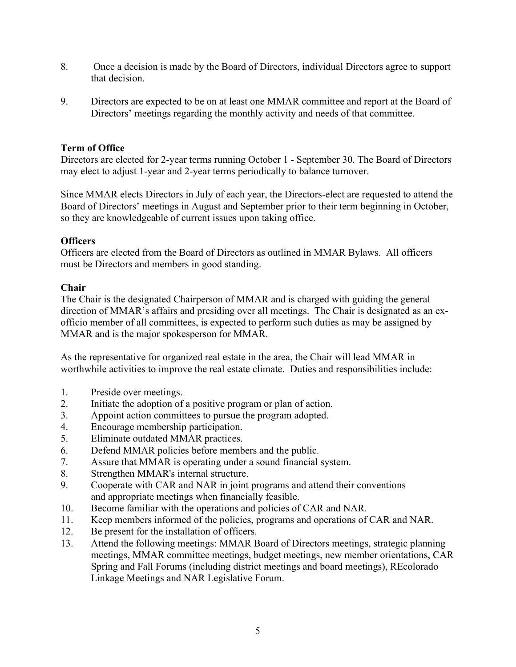- 8. Once a decision is made by the Board of Directors, individual Directors agree to support that decision.
- 9. Directors are expected to be on at least one MMAR committee and report at the Board of Directors' meetings regarding the monthly activity and needs of that committee.

# Term of Office

Directors are elected for 2-year terms running October 1 - September 30. The Board of Directors may elect to adjust 1-year and 2-year terms periodically to balance turnover.

Since MMAR elects Directors in July of each year, the Directors-elect are requested to attend the Board of Directors' meetings in August and September prior to their term beginning in October, so they are knowledgeable of current issues upon taking office.

# **Officers**

Officers are elected from the Board of Directors as outlined in MMAR Bylaws. All officers must be Directors and members in good standing.

# Chair

The Chair is the designated Chairperson of MMAR and is charged with guiding the general direction of MMAR's affairs and presiding over all meetings. The Chair is designated as an exofficio member of all committees, is expected to perform such duties as may be assigned by MMAR and is the major spokesperson for MMAR.

As the representative for organized real estate in the area, the Chair will lead MMAR in worthwhile activities to improve the real estate climate. Duties and responsibilities include:

- 1. Preside over meetings.
- 2. Initiate the adoption of a positive program or plan of action.
- 3. Appoint action committees to pursue the program adopted.
- 4. Encourage membership participation.
- 5. Eliminate outdated MMAR practices.
- 6. Defend MMAR policies before members and the public.
- 7. Assure that MMAR is operating under a sound financial system.
- 8. Strengthen MMAR's internal structure.
- 9. Cooperate with CAR and NAR in joint programs and attend their conventions and appropriate meetings when financially feasible.
- 10. Become familiar with the operations and policies of CAR and NAR.
- 11. Keep members informed of the policies, programs and operations of CAR and NAR.
- 12. Be present for the installation of officers.
- 13. Attend the following meetings: MMAR Board of Directors meetings, strategic planning meetings, MMAR committee meetings, budget meetings, new member orientations, CAR Spring and Fall Forums (including district meetings and board meetings), REcolorado Linkage Meetings and NAR Legislative Forum.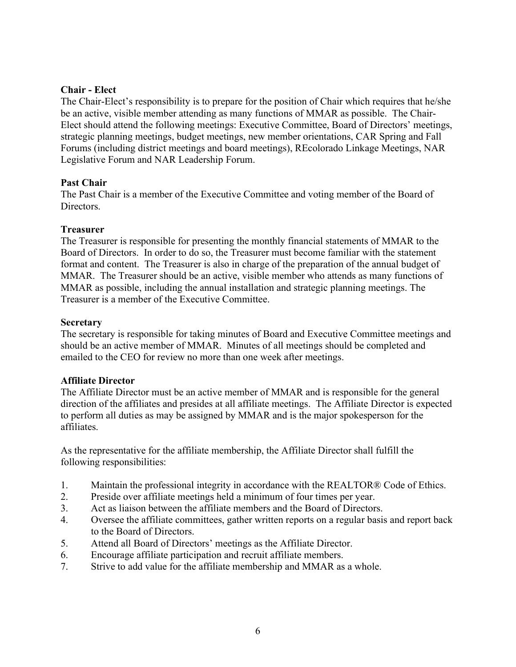#### Chair - Elect

The Chair-Elect's responsibility is to prepare for the position of Chair which requires that he/she be an active, visible member attending as many functions of MMAR as possible. The Chair-Elect should attend the following meetings: Executive Committee, Board of Directors' meetings, strategic planning meetings, budget meetings, new member orientations, CAR Spring and Fall Forums (including district meetings and board meetings), REcolorado Linkage Meetings, NAR Legislative Forum and NAR Leadership Forum.

#### Past Chair

The Past Chair is a member of the Executive Committee and voting member of the Board of Directors.

#### Treasurer

The Treasurer is responsible for presenting the monthly financial statements of MMAR to the Board of Directors. In order to do so, the Treasurer must become familiar with the statement format and content. The Treasurer is also in charge of the preparation of the annual budget of MMAR. The Treasurer should be an active, visible member who attends as many functions of MMAR as possible, including the annual installation and strategic planning meetings. The Treasurer is a member of the Executive Committee.

#### Secretary

The secretary is responsible for taking minutes of Board and Executive Committee meetings and should be an active member of MMAR. Minutes of all meetings should be completed and emailed to the CEO for review no more than one week after meetings.

# Affiliate Director

The Affiliate Director must be an active member of MMAR and is responsible for the general direction of the affiliates and presides at all affiliate meetings. The Affiliate Director is expected to perform all duties as may be assigned by MMAR and is the major spokesperson for the affiliates.

 As the representative for the affiliate membership, the Affiliate Director shall fulfill the following responsibilities:

- 1. Maintain the professional integrity in accordance with the REALTOR® Code of Ethics.
- 2. Preside over affiliate meetings held a minimum of four times per year.
- 3. Act as liaison between the affiliate members and the Board of Directors.
- 4. Oversee the affiliate committees, gather written reports on a regular basis and report back to the Board of Directors.
- 5. Attend all Board of Directors' meetings as the Affiliate Director.
- 6. Encourage affiliate participation and recruit affiliate members.
- 7. Strive to add value for the affiliate membership and MMAR as a whole.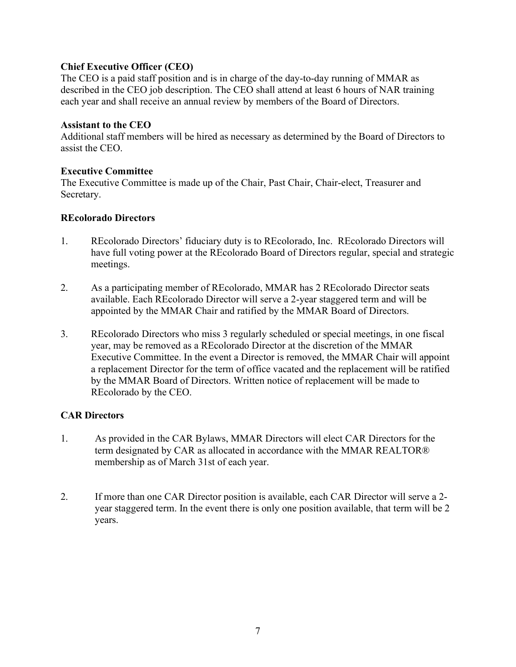# Chief Executive Officer (CEO)

The CEO is a paid staff position and is in charge of the day-to-day running of MMAR as described in the CEO job description. The CEO shall attend at least 6 hours of NAR training each year and shall receive an annual review by members of the Board of Directors.

#### Assistant to the CEO

Additional staff members will be hired as necessary as determined by the Board of Directors to assist the CEO.

#### Executive Committee

The Executive Committee is made up of the Chair, Past Chair, Chair-elect, Treasurer and Secretary.

#### REcolorado Directors

- 1. REcolorado Directors' fiduciary duty is to REcolorado, Inc. REcolorado Directors will have full voting power at the REcolorado Board of Directors regular, special and strategic meetings.
- 2. As a participating member of REcolorado, MMAR has 2 REcolorado Director seats available. Each REcolorado Director will serve a 2-year staggered term and will be appointed by the MMAR Chair and ratified by the MMAR Board of Directors.
- 3. REcolorado Directors who miss 3 regularly scheduled or special meetings, in one fiscal year, may be removed as a REcolorado Director at the discretion of the MMAR Executive Committee. In the event a Director is removed, the MMAR Chair will appoint a replacement Director for the term of office vacated and the replacement will be ratified by the MMAR Board of Directors. Written notice of replacement will be made to REcolorado by the CEO.

#### CAR Directors

- 1. As provided in the CAR Bylaws, MMAR Directors will elect CAR Directors for the term designated by CAR as allocated in accordance with the MMAR REALTOR® membership as of March 31st of each year.
- 2. If more than one CAR Director position is available, each CAR Director will serve a 2 year staggered term. In the event there is only one position available, that term will be 2 years.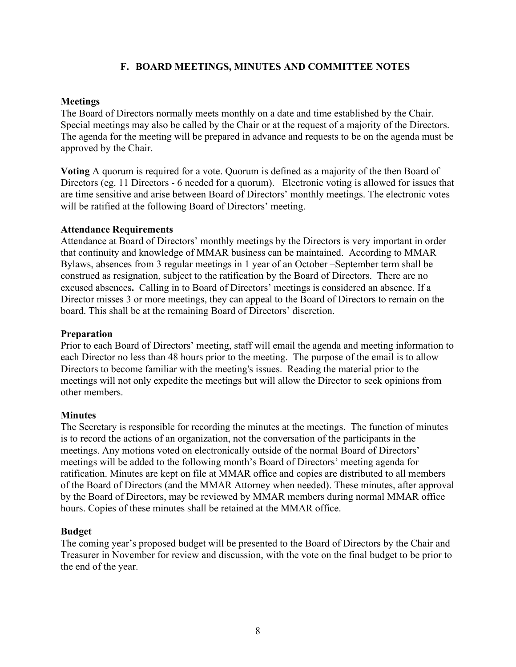# F. BOARD MEETINGS, MINUTES AND COMMITTEE NOTES

#### **Meetings**

The Board of Directors normally meets monthly on a date and time established by the Chair. Special meetings may also be called by the Chair or at the request of a majority of the Directors. The agenda for the meeting will be prepared in advance and requests to be on the agenda must be approved by the Chair.

Voting A quorum is required for a vote. Quorum is defined as a majority of the then Board of Directors (eg. 11 Directors - 6 needed for a quorum). Electronic voting is allowed for issues that are time sensitive and arise between Board of Directors' monthly meetings. The electronic votes will be ratified at the following Board of Directors' meeting.

#### Attendance Requirements

Attendance at Board of Directors' monthly meetings by the Directors is very important in order that continuity and knowledge of MMAR business can be maintained. According to MMAR Bylaws, absences from 3 regular meetings in 1 year of an October –September term shall be construed as resignation, subject to the ratification by the Board of Directors. There are no excused absences. Calling in to Board of Directors' meetings is considered an absence. If a Director misses 3 or more meetings, they can appeal to the Board of Directors to remain on the board. This shall be at the remaining Board of Directors' discretion.

#### Preparation

Prior to each Board of Directors' meeting, staff will email the agenda and meeting information to each Director no less than 48 hours prior to the meeting. The purpose of the email is to allow Directors to become familiar with the meeting's issues. Reading the material prior to the meetings will not only expedite the meetings but will allow the Director to seek opinions from other members.

#### **Minutes**

The Secretary is responsible for recording the minutes at the meetings. The function of minutes is to record the actions of an organization, not the conversation of the participants in the meetings. Any motions voted on electronically outside of the normal Board of Directors' meetings will be added to the following month's Board of Directors' meeting agenda for ratification. Minutes are kept on file at MMAR office and copies are distributed to all members of the Board of Directors (and the MMAR Attorney when needed). These minutes, after approval by the Board of Directors, may be reviewed by MMAR members during normal MMAR office hours. Copies of these minutes shall be retained at the MMAR office.

#### Budget

The coming year's proposed budget will be presented to the Board of Directors by the Chair and Treasurer in November for review and discussion, with the vote on the final budget to be prior to the end of the year.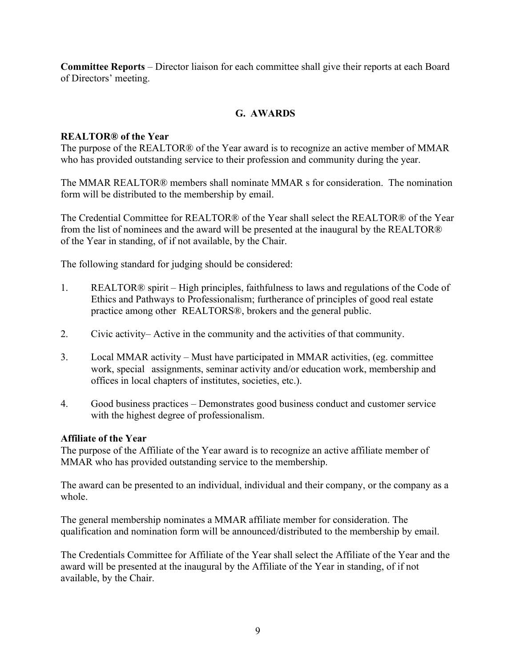Committee Reports – Director liaison for each committee shall give their reports at each Board of Directors' meeting.

# G. AWARDS

# REALTOR® of the Year

The purpose of the REALTOR® of the Year award is to recognize an active member of MMAR who has provided outstanding service to their profession and community during the year.

The MMAR REALTOR® members shall nominate MMAR s for consideration. The nomination form will be distributed to the membership by email.

The Credential Committee for REALTOR® of the Year shall select the REALTOR® of the Year from the list of nominees and the award will be presented at the inaugural by the REALTOR® of the Year in standing, of if not available, by the Chair.

The following standard for judging should be considered:

- 1. REALTOR® spirit High principles, faithfulness to laws and regulations of the Code of Ethics and Pathways to Professionalism; furtherance of principles of good real estate practice among other REALTORS®, brokers and the general public.
- 2. Civic activity– Active in the community and the activities of that community.
- 3. Local MMAR activity Must have participated in MMAR activities, (eg. committee work, special assignments, seminar activity and/or education work, membership and offices in local chapters of institutes, societies, etc.).
- 4. Good business practices Demonstrates good business conduct and customer service with the highest degree of professionalism.

#### Affiliate of the Year

The purpose of the Affiliate of the Year award is to recognize an active affiliate member of MMAR who has provided outstanding service to the membership.

The award can be presented to an individual, individual and their company, or the company as a whole.

The general membership nominates a MMAR affiliate member for consideration. The qualification and nomination form will be announced/distributed to the membership by email.

The Credentials Committee for Affiliate of the Year shall select the Affiliate of the Year and the award will be presented at the inaugural by the Affiliate of the Year in standing, of if not available, by the Chair.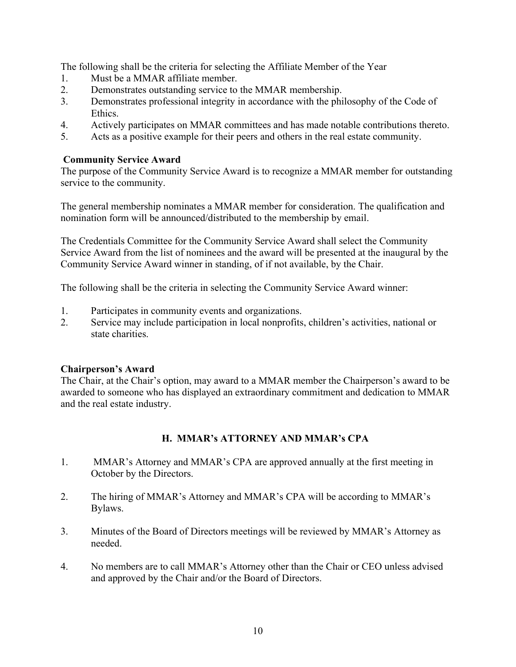The following shall be the criteria for selecting the Affiliate Member of the Year

- 1. Must be a MMAR affiliate member.
- 2. Demonstrates outstanding service to the MMAR membership.
- 3. Demonstrates professional integrity in accordance with the philosophy of the Code of Ethics.
- 4. Actively participates on MMAR committees and has made notable contributions thereto.
- 5. Acts as a positive example for their peers and others in the real estate community.

# Community Service Award

The purpose of the Community Service Award is to recognize a MMAR member for outstanding service to the community.

The general membership nominates a MMAR member for consideration. The qualification and nomination form will be announced/distributed to the membership by email.

The Credentials Committee for the Community Service Award shall select the Community Service Award from the list of nominees and the award will be presented at the inaugural by the Community Service Award winner in standing, of if not available, by the Chair.

The following shall be the criteria in selecting the Community Service Award winner:

- 1. Participates in community events and organizations.
- 2. Service may include participation in local nonprofits, children's activities, national or state charities.

# Chairperson's Award

The Chair, at the Chair's option, may award to a MMAR member the Chairperson's award to be awarded to someone who has displayed an extraordinary commitment and dedication to MMAR and the real estate industry.

# H. MMAR's ATTORNEY AND MMAR's CPA

- 1. MMAR's Attorney and MMAR's CPA are approved annually at the first meeting in October by the Directors.
- 2. The hiring of MMAR's Attorney and MMAR's CPA will be according to MMAR's Bylaws.
- 3. Minutes of the Board of Directors meetings will be reviewed by MMAR's Attorney as needed.
- 4. No members are to call MMAR's Attorney other than the Chair or CEO unless advised and approved by the Chair and/or the Board of Directors.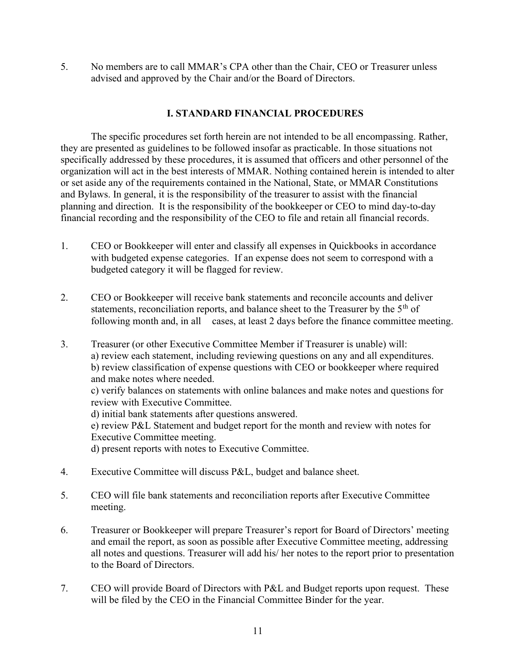5. No members are to call MMAR's CPA other than the Chair, CEO or Treasurer unless advised and approved by the Chair and/or the Board of Directors.

# I. STANDARD FINANCIAL PROCEDURES

 The specific procedures set forth herein are not intended to be all encompassing. Rather, they are presented as guidelines to be followed insofar as practicable. In those situations not specifically addressed by these procedures, it is assumed that officers and other personnel of the organization will act in the best interests of MMAR. Nothing contained herein is intended to alter or set aside any of the requirements contained in the National, State, or MMAR Constitutions and Bylaws. In general, it is the responsibility of the treasurer to assist with the financial planning and direction. It is the responsibility of the bookkeeper or CEO to mind day-to-day financial recording and the responsibility of the CEO to file and retain all financial records.

- 1. CEO or Bookkeeper will enter and classify all expenses in Quickbooks in accordance with budgeted expense categories. If an expense does not seem to correspond with a budgeted category it will be flagged for review.
- 2. CEO or Bookkeeper will receive bank statements and reconcile accounts and deliver statements, reconciliation reports, and balance sheet to the Treasurer by the 5<sup>th</sup> of following month and, in all cases, at least 2 days before the finance committee meeting.
- 3. Treasurer (or other Executive Committee Member if Treasurer is unable) will: a) review each statement, including reviewing questions on any and all expenditures. b) review classification of expense questions with CEO or bookkeeper where required and make notes where needed.

 c) verify balances on statements with online balances and make notes and questions for review with Executive Committee.

d) initial bank statements after questions answered.

 e) review P&L Statement and budget report for the month and review with notes for Executive Committee meeting.

d) present reports with notes to Executive Committee.

- 4. Executive Committee will discuss P&L, budget and balance sheet.
- 5. CEO will file bank statements and reconciliation reports after Executive Committee meeting.
- 6. Treasurer or Bookkeeper will prepare Treasurer's report for Board of Directors' meeting and email the report, as soon as possible after Executive Committee meeting, addressing all notes and questions. Treasurer will add his/ her notes to the report prior to presentation to the Board of Directors.
- 7. CEO will provide Board of Directors with P&L and Budget reports upon request. These will be filed by the CEO in the Financial Committee Binder for the year.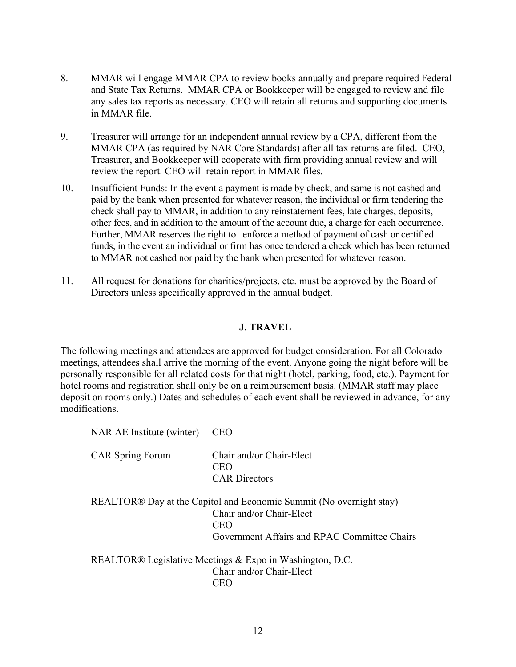- 8. MMAR will engage MMAR CPA to review books annually and prepare required Federal and State Tax Returns. MMAR CPA or Bookkeeper will be engaged to review and file any sales tax reports as necessary. CEO will retain all returns and supporting documents in MMAR file.
- 9. Treasurer will arrange for an independent annual review by a CPA, different from the MMAR CPA (as required by NAR Core Standards) after all tax returns are filed. CEO, Treasurer, and Bookkeeper will cooperate with firm providing annual review and will review the report. CEO will retain report in MMAR files.
- 10. Insufficient Funds: In the event a payment is made by check, and same is not cashed and paid by the bank when presented for whatever reason, the individual or firm tendering the check shall pay to MMAR, in addition to any reinstatement fees, late charges, deposits, other fees, and in addition to the amount of the account due, a charge for each occurrence. Further, MMAR reserves the right to enforce a method of payment of cash or certified funds, in the event an individual or firm has once tendered a check which has been returned to MMAR not cashed nor paid by the bank when presented for whatever reason.
- 11. All request for donations for charities/projects, etc. must be approved by the Board of Directors unless specifically approved in the annual budget.

#### J. TRAVEL

The following meetings and attendees are approved for budget consideration. For all Colorado meetings, attendees shall arrive the morning of the event. Anyone going the night before will be personally responsible for all related costs for that night (hotel, parking, food, etc.). Payment for hotel rooms and registration shall only be on a reimbursement basis. (MMAR staff may place deposit on rooms only.) Dates and schedules of each event shall be reviewed in advance, for any modifications.

| NAR AE Institute (winter) | CEO                                                                                                                                                    |
|---------------------------|--------------------------------------------------------------------------------------------------------------------------------------------------------|
| <b>CAR</b> Spring Forum   | Chair and/or Chair-Elect<br>CEO<br><b>CAR</b> Directors                                                                                                |
|                           | REALTOR® Day at the Capitol and Economic Summit (No overnight stay)<br>Chair and/or Chair-Elect<br>CEO<br>Government Affairs and RPAC Committee Chairs |
|                           | REALTOR® Legislative Meetings & Expo in Washington, D.C.<br>Chair and/or Chair-Elect<br>CEO                                                            |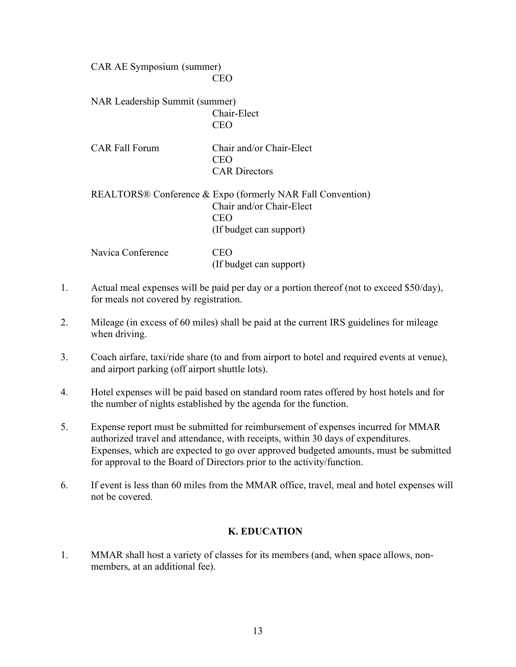CAR AE Symposium (summer) **CEO** 

> NAR Leadership Summit (summer) Chair-Elect CEO

| <b>CAR Fall Forum</b> | Chair and/or Chair-Elect |
|-----------------------|--------------------------|
|                       | <b>CEO</b>               |
|                       | <b>CAR</b> Directors     |

# REALTORS® Conference & Expo (formerly NAR Fall Convention) Chair and/or Chair-Elect **CEO** (If budget can support)

| Navica Conference | <b>CEO</b>              |
|-------------------|-------------------------|
|                   | (If budget can support) |

- 1. Actual meal expenses will be paid per day or a portion thereof (not to exceed \$50/day), for meals not covered by registration.
- 2. Mileage (in excess of 60 miles) shall be paid at the current IRS guidelines for mileage when driving.
- 3. Coach airfare, taxi/ride share (to and from airport to hotel and required events at venue), and airport parking (off airport shuttle lots).
- 4. Hotel expenses will be paid based on standard room rates offered by host hotels and for the number of nights established by the agenda for the function.
- 5. Expense report must be submitted for reimbursement of expenses incurred for MMAR authorized travel and attendance, with receipts, within 30 days of expenditures. Expenses, which are expected to go over approved budgeted amounts, must be submitted for approval to the Board of Directors prior to the activity/function.
- 6. If event is less than 60 miles from the MMAR office, travel, meal and hotel expenses will not be covered.

# K. EDUCATION

1. MMAR shall host a variety of classes for its members (and, when space allows, nonmembers, at an additional fee).